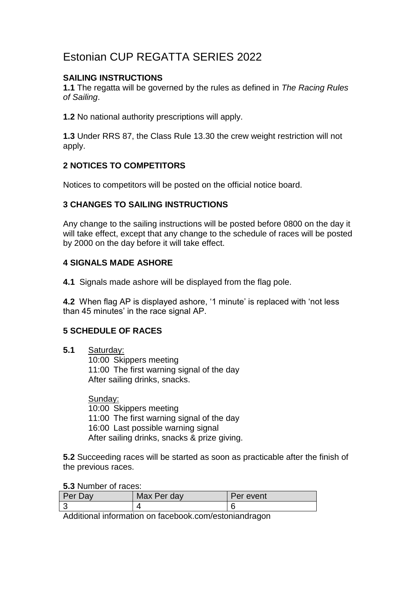# Estonian CUP REGATTA SERIES 2022

## **SAILING INSTRUCTIONS**

**1.1** The regatta will be governed by the rules as defined in *The Racing Rules of Sailing*.

**1.2** No national authority prescriptions will apply.

**1.3** Under RRS 87, the Class Rule 13.30 the crew weight restriction will not apply.

## **2 NOTICES TO COMPETITORS**

Notices to competitors will be posted on the official notice board.

## **3 CHANGES TO SAILING INSTRUCTIONS**

Any change to the sailing instructions will be posted before 0800 on the day it will take effect, except that any change to the schedule of races will be posted by 2000 on the day before it will take effect.

## **4 SIGNALS MADE ASHORE**

**4.1** Signals made ashore will be displayed from the flag pole.

**4.2** When flag AP is displayed ashore, '1 minute' is replaced with 'not less than 45 minutes' in the race signal AP.

## **5 SCHEDULE OF RACES**

**5.1** Saturday:

10:00 Skippers meeting 11:00 The first warning signal of the day After sailing drinks, snacks.

Sunday: 10:00 Skippers meeting 11:00 The first warning signal of the day 16:00 Last possible warning signal After sailing drinks, snacks & prize giving.

**5.2** Succeeding races will be started as soon as practicable after the finish of the previous races.

#### **5.3** Number of races:

| Per.<br><b>Day</b> | Max Per day | Per event |
|--------------------|-------------|-----------|
|                    | ,           |           |

Additional information on facebook.com/estoniandragon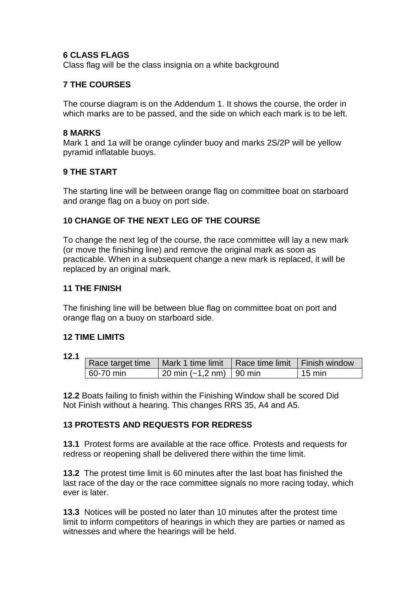#### **6 CLASS FLAGS**

Class flag will be the class insignia on a white background

## **7 THE COURSES**

The course diagram is on the Addendum 1. It shows the course, the order in which marks are to be passed, and the side on which each mark is to be left.

#### **8 MARKS**

Mark 1 and 1a will be orange cylinder buoy and marks 2S/2P will be yellow pyramid inflatable buoys.

## **9 THE START**

The starting line will be between orange flag on committee boat on starboard and orange flag on a buoy on port side.

## **10 CHANGE OF THE NEXT LEG OF THE COURSE**

To change the next leg of the course, the race committee will lay a new mark (or move the finishing line) and remove the original mark as soon as practicable. When in a subsequent change a new mark is replaced, it will be replaced by an original mark.

#### **11 THE FINISH**

The finishing line will be between blue flag on committee boat on port and orange flag on a buoy on starboard side.

#### **12 TIME LIMITS**

**12.1** 

|           | Race target time   Mark 1 time limit   Race time limit   Finish window |                  |
|-----------|------------------------------------------------------------------------|------------------|
| 60-70 min | $ 20 \text{ min } (-1.2 \text{ nm}) 90 \text{ min}$                    | $15 \text{ min}$ |

**12.2** Boats failing to finish within the Finishing Window shall be scored Did Not Finish without a hearing. This changes RRS 35, A4 and A5.

#### **13 PROTESTS AND REQUESTS FOR REDRESS**

**13.1** Protest forms are available at the race office. Protests and requests for redress or reopening shall be delivered there within the time limit.

**13.2** The protest time limit is 60 minutes after the last boat has finished the last race of the day or the race committee signals no more racing today, which ever is later.

**13.3** Notices will be posted no later than 10 minutes after the protest time limit to inform competitors of hearings in which they are parties or named as witnesses and where the hearings will be held.